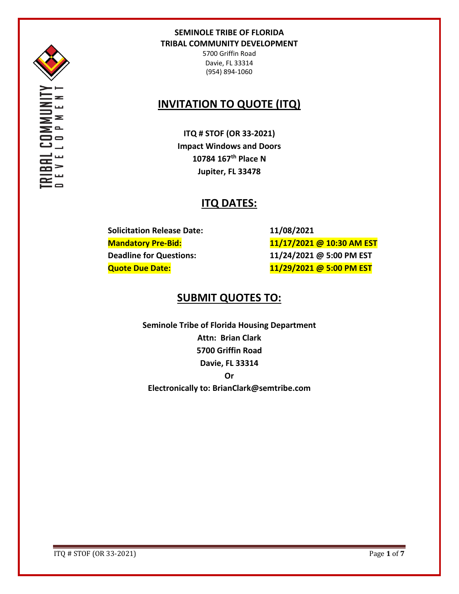

OMMI<br>0 P M

5700 Griffin Road Davie, FL 33314 (954) 894-1060

# **INVITATION TO QUOTE (ITQ)**

**ITQ # STOF (OR 33-2021) Impact Windows and Doors 10784 167th Place N Jupiter, FL 33478**

# **ITQ DATES:**

**Solicitation Release Date: 11/08/2021**

**Mandatory Pre-Bid: 11/17/2021 @ 10:30 AM EST Deadline for Questions: 11/24/2021 @ 5:00 PM EST Quote Due Date: 11/29/2021 @ 5:00 PM EST**

# **SUBMIT QUOTES TO:**

**Seminole Tribe of Florida Housing Department Attn: Brian Clark 5700 Griffin Road Davie, FL 33314 Or Electronically to: BrianClark@semtribe.com** 

ITQ # STOF (OR 33-2021) Page **1** of **7**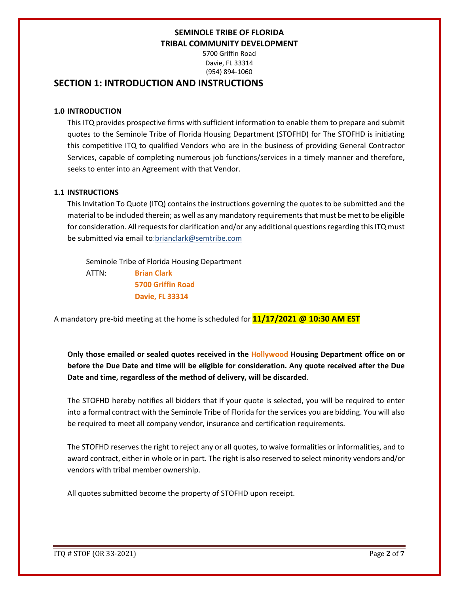5700 Griffin Road Davie, FL 33314 (954) 894-1060

## **SECTION 1: INTRODUCTION AND INSTRUCTIONS**

### **1.0 INTRODUCTION**

This ITQ provides prospective firms with sufficient information to enable them to prepare and submit quotes to the Seminole Tribe of Florida Housing Department (STOFHD) for The STOFHD is initiating this competitive ITQ to qualified Vendors who are in the business of providing General Contractor Services, capable of completing numerous job functions/services in a timely manner and therefore, seeks to enter into an Agreement with that Vendor.

### **1.1 INSTRUCTIONS**

This Invitation To Quote (ITQ) contains the instructions governing the quotes to be submitted and the material to be included therein; as well as any mandatory requirements that must be met to be eligible for consideration. All requests for clarification and/or any additional questions regarding this ITQ must be submitted via email to:brianclark@semtribe.com

 Seminole Tribe of Florida Housing Department ATTN: **Brian Clark 5700 Griffin Road Davie, FL 33314**

A mandatory pre-bid meeting at the home is scheduled for **11/17/2021 @ 10:30 AM EST**

**Only those emailed or sealed quotes received in the Hollywood Housing Department office on or before the Due Date and time will be eligible for consideration. Any quote received after the Due Date and time, regardless of the method of delivery, will be discarded**.

The STOFHD hereby notifies all bidders that if your quote is selected, you will be required to enter into a formal contract with the Seminole Tribe of Florida for the services you are bidding. You will also be required to meet all company vendor, insurance and certification requirements.

The STOFHD reserves the right to reject any or all quotes, to waive formalities or informalities, and to award contract, either in whole or in part. The right is also reserved to select minority vendors and/or vendors with tribal member ownership.

All quotes submitted become the property of STOFHD upon receipt.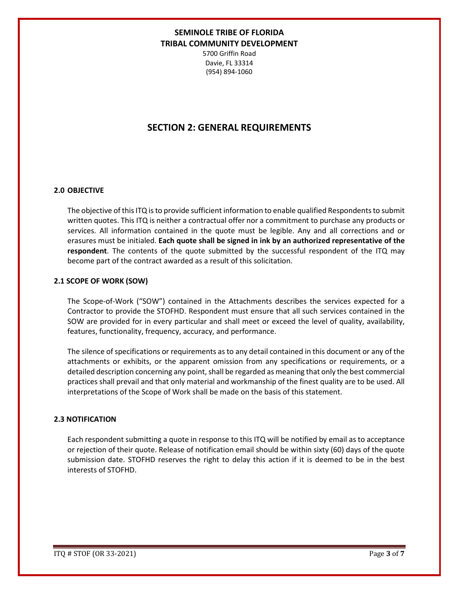5700 Griffin Road Davie, FL 33314 (954) 894-1060

## **SECTION 2: GENERAL REQUIREMENTS**

#### **2.0 OBJECTIVE**

The objective of this ITQ is to provide sufficient information to enable qualified Respondents to submit written quotes. This ITQ is neither a contractual offer nor a commitment to purchase any products or services. All information contained in the quote must be legible. Any and all corrections and or erasures must be initialed. **Each quote shall be signed in ink by an authorized representative of the respondent**. The contents of the quote submitted by the successful respondent of the ITQ may become part of the contract awarded as a result of this solicitation.

#### **2.1 SCOPE OF WORK (SOW)**

The Scope-of-Work ("SOW") contained in the Attachments describes the services expected for a Contractor to provide the STOFHD. Respondent must ensure that all such services contained in the SOW are provided for in every particular and shall meet or exceed the level of quality, availability, features, functionality, frequency, accuracy, and performance.

The silence of specifications or requirements as to any detail contained in this document or any of the attachments or exhibits, or the apparent omission from any specifications or requirements, or a detailed description concerning any point, shall be regarded as meaning that only the best commercial practices shall prevail and that only material and workmanship of the finest quality are to be used. All interpretations of the Scope of Work shall be made on the basis of this statement.

#### **2.3 NOTIFICATION**

Each respondent submitting a quote in response to this ITQ will be notified by email as to acceptance or rejection of their quote. Release of notification email should be within sixty (60) days of the quote submission date. STOFHD reserves the right to delay this action if it is deemed to be in the best interests of STOFHD.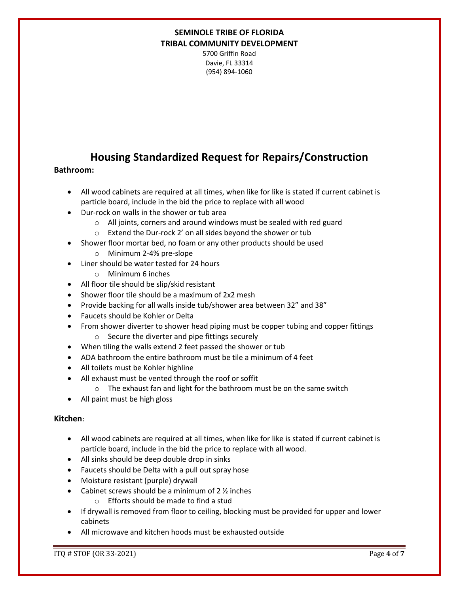5700 Griffin Road Davie, FL 33314 (954) 894-1060

# **Housing Standardized Request for Repairs/Construction**

### **Bathroom:**

- All wood cabinets are required at all times, when like for like is stated if current cabinet is particle board, include in the bid the price to replace with all wood
- Dur-rock on walls in the shower or tub area
	- o All joints, corners and around windows must be sealed with red guard
	- o Extend the Dur-rock 2' on all sides beyond the shower or tub
- Shower floor mortar bed, no foam or any other products should be used
	- o Minimum 2-4% pre-slope
- Liner should be water tested for 24 hours
	- o Minimum 6 inches
- All floor tile should be slip/skid resistant
- Shower floor tile should be a maximum of 2x2 mesh
- Provide backing for all walls inside tub/shower area between 32" and 38"
- Faucets should be Kohler or Delta
- From shower diverter to shower head piping must be copper tubing and copper fittings o Secure the diverter and pipe fittings securely
- When tiling the walls extend 2 feet passed the shower or tub
- ADA bathroom the entire bathroom must be tile a minimum of 4 feet
- All toilets must be Kohler highline
- All exhaust must be vented through the roof or soffit
	- o The exhaust fan and light for the bathroom must be on the same switch
- All paint must be high gloss

### **Kitchen:**

- All wood cabinets are required at all times, when like for like is stated if current cabinet is particle board, include in the bid the price to replace with all wood.
- All sinks should be deep double drop in sinks
- Faucets should be Delta with a pull out spray hose
- Moisture resistant (purple) drywall
- Cabinet screws should be a minimum of 2 ½ inches
	- o Efforts should be made to find a stud
- If drywall is removed from floor to ceiling, blocking must be provided for upper and lower cabinets
- All microwave and kitchen hoods must be exhausted outside

ITQ # STOF (OR 33-2021) Page **4** of **7**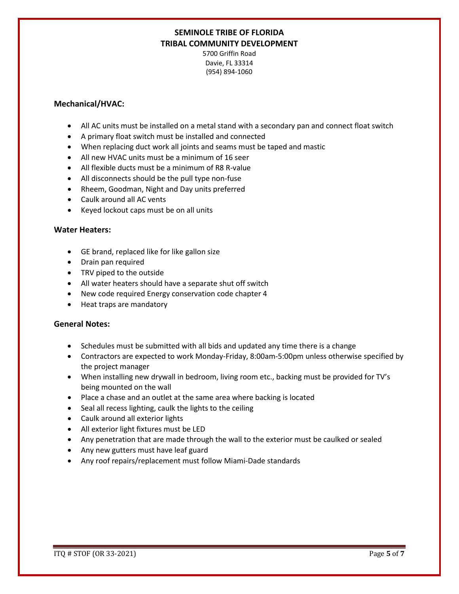5700 Griffin Road Davie, FL 33314 (954) 894-1060

### **Mechanical/HVAC:**

- All AC units must be installed on a metal stand with a secondary pan and connect float switch
- A primary float switch must be installed and connected
- When replacing duct work all joints and seams must be taped and mastic
- All new HVAC units must be a minimum of 16 seer
- All flexible ducts must be a minimum of R8 R-value
- All disconnects should be the pull type non-fuse
- Rheem, Goodman, Night and Day units preferred
- Caulk around all AC vents
- Keyed lockout caps must be on all units

#### **Water Heaters:**

- GE brand, replaced like for like gallon size
- Drain pan required
- TRV piped to the outside
- All water heaters should have a separate shut off switch
- New code required Energy conservation code chapter 4
- Heat traps are mandatory

#### **General Notes:**

- Schedules must be submitted with all bids and updated any time there is a change
- Contractors are expected to work Monday-Friday, 8:00am-5:00pm unless otherwise specified by the project manager
- When installing new drywall in bedroom, living room etc., backing must be provided for TV's being mounted on the wall
- Place a chase and an outlet at the same area where backing is located
- Seal all recess lighting, caulk the lights to the ceiling
- Caulk around all exterior lights
- All exterior light fixtures must be LED
- Any penetration that are made through the wall to the exterior must be caulked or sealed
- Any new gutters must have leaf guard
- Any roof repairs/replacement must follow Miami-Dade standards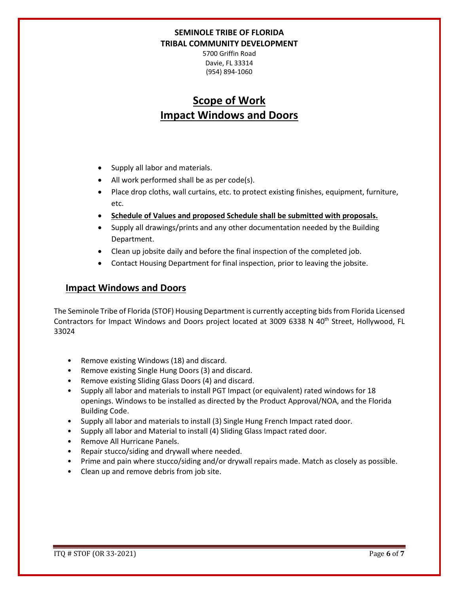5700 Griffin Road Davie, FL 33314 (954) 894-1060

# **Scope of Work Impact Windows and Doors**

- Supply all labor and materials.
- All work performed shall be as per code(s).
- Place drop cloths, wall curtains, etc. to protect existing finishes, equipment, furniture, etc.
- **Schedule of Values and proposed Schedule shall be submitted with proposals.**
- Supply all drawings/prints and any other documentation needed by the Building Department.
- Clean up jobsite daily and before the final inspection of the completed job.
- Contact Housing Department for final inspection, prior to leaving the jobsite.

## **Impact Windows and Doors**

The Seminole Tribe of Florida (STOF) Housing Department is currently accepting bids from Florida Licensed Contractors for Impact Windows and Doors project located at 3009 6338 N 40<sup>th</sup> Street, Hollywood, FL 33024

- Remove existing Windows (18) and discard.
- Remove existing Single Hung Doors (3) and discard.
- Remove existing Sliding Glass Doors (4) and discard.
- Supply all labor and materials to install PGT Impact (or equivalent) rated windows for 18 openings. Windows to be installed as directed by the Product Approval/NOA, and the Florida Building Code.
- Supply all labor and materials to install (3) Single Hung French Impact rated door.
- Supply all labor and Material to install (4) Sliding Glass Impact rated door.
- Remove All Hurricane Panels.
- Repair stucco/siding and drywall where needed.
- Prime and pain where stucco/siding and/or drywall repairs made. Match as closely as possible.
- Clean up and remove debris from job site.